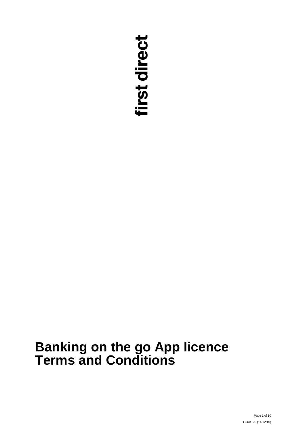# first direct

# **Banking on the go App licence Terms and Conditions**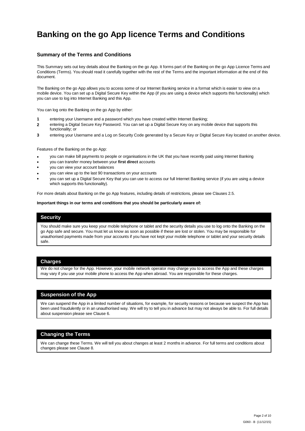# **Banking on the go App licence Terms and Conditions**

#### **Summary of the Terms and Conditions**

This Summary sets out key details about the Banking on the go App. It forms part of the Banking on the go App Licence Terms and Conditions (Terms). You should read it carefully together with the rest of the Terms and the important information at the end of this document.

The Banking on the go App allows you to access some of our Internet Banking service in a format which is easier to view on a mobile device. You can set up a Digital Secure Key within the App (if you are using a device which supports this functionality) which you can use to log into Internet Banking and this App.

You can log onto the Banking on the go App by either:

- **1** entering your Username and a password which you have created within Internet Banking;
- **2** entering a Digital Secure Key Password. You can set up a Digital Secure Key on any mobile device that supports this functionality; or
- **3** entering your Username and a Log on Security Code generated by a Secure Key or Digital Secure Key located on another device.

Features of the Banking on the go App:

- you can make bill payments to people or organisations in the UK that you have recently paid using Internet Banking
- you can transfer money between your **first direct** accounts
- you can view your account balances
- you can view up to the last 90 transactions on your accounts
- you can set up a Digital Secure Key that you can use to access our full Internet Banking service (if you are using a device which supports this functionality). •

For more details about Banking on the go App features, including details of restrictions, please see Clauses 2.5.

#### **Important things in our terms and conditions that you should be particularly aware of:**

#### **Security**

You should make sure you keep your mobile telephone or tablet and the security details you use to log onto the Banking on the go App safe and secure. You must let us know as soon as possible if these are lost or stolen. You may be responsible for unauthorised payments made from your accounts if you have not kept your mobile telephone or tablet and your security details safe.

#### **Charges**

We do not charge for the App. However, your mobile network operator may charge you to access the App and these charges may vary if you use your mobile phone to access the App when abroad. You are responsible for these charges.

#### **Suspension of the App**

We can suspend the App in a limited number of situations, for example, for security reasons or because we suspect the App has been used fraudulently or in an unauthorised way. We will try to tell you in advance but may not always be able to. For full details about suspension please see Clause 6.

#### **Changing the Terms**

We can change these Terms. We will tell you about changes at least 2 months in advance. For full terms and conditions about changes please see Clause 8.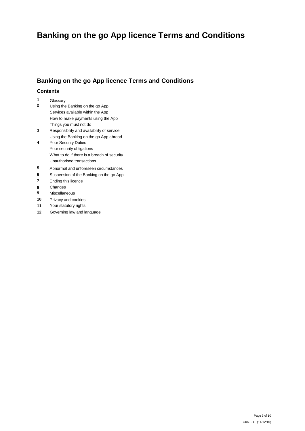# **Banking on the go App licence Terms and Conditions**

# **Banking on the go App licence Terms and Conditions**

#### **Contents**

- **1** Glossary
- **2** Using the Banking on the go App Services available within the App How to make payments using the App Things you must not do
- **3** Responsibility and availability of service Using the Banking on the go App abroad
- **4** Your Security Duties Your security obligations What to do if there is a breach of security Unauthorised transactions
- **5** Abnormal and unforeseen circumstances
- **6** Suspension of the Banking on the go App
- **7** Ending this licence
- 8 Changes<br>9 Miscellan
- **9** Miscellaneous
- **10** Privacy and cookies
- **11** Your statutory rights
- **12** Governing law and language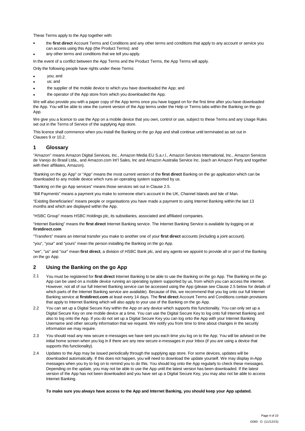These Terms apply to the App together with:

- the **first direct** Account Terms and Conditions and any other terms and conditions that apply to any account or service you can access using this App (the Product Terms); and
- any other terms and conditions that we tell you apply.
- In the event of a conflict between the App Terms and the Product Terms, the App Terms will apply.

Only the following people have rights under these Terms:

- you; and
- us; and
- the supplier of the mobile device to which you have downloaded the App; and
- the operator of the App store from which you downloaded the App.

We will also provide you with a paper copy of the App terms once you have logged on for the first time after you have downloaded the App. You will be able to view the current version of the App terms under the Help or Terms tabs within the Banking on the go App.

We give you a licence to use the App on a mobile device that you own, control or use, subject to these Terms and any Usage Rules set out in the Terms of Service of the supplying App store.

This licence shall commence when you install the Banking on the go App and shall continue until terminated as set out in Clauses 9 or 10.2.

#### **1 Glossary**

"Amazon'' means Amazon Digital Services, Inc., Amazon Media EU S.a.r.l., Amazon Services International, Inc., Amazon Servicos de Varejo do Brasil Ltda., and Amazon.com Int'l Sales, Inc and Amazon Australia Service Inc. (each an Amazon Party and together with their affiliates, Amazon).

"Banking on the go App" or "App" means the most current version of the **first direct** Banking on the go application which can be downloaded to any mobile device which runs an operating system supported by us.

"Banking on the go App services" means those services set out in Clause 2.5.

"Bill Payments" means a payment you make to someone else's account in the UK, Channel Islands and Isle of Man.

"Existing Beneficiaries" means people or organisations you have made a payment to using Internet Banking within the last 13 months and which are displayed within the App.

"HSBC Group" means HSBC Holdings plc, its subsidiaries, associated and affiliated companies.

"Internet Banking" means the **first direct** Internet Banking service. The Internet Banking Service is available by logging on at **firstdirect.com**

"Transfers" means an internal transfer you make to another one of your **first direct** accounts (including a joint account).

"you", "your" and "yours" mean the person installing the Banking on the go App.

"we", "us" and "our" mean **first direct**, a division of HSBC Bank plc, and any agents we appoint to provide all or part of the Banking on the go App.

#### **2 Using the Banking on the go App**

- 2.1 You must be registered for **first direct** Internet Banking to be able to use the Banking on the go App. The Banking on the go App can be used on a mobile device running an operating system supported by us, from which you can access the internet. However, not all of our full Internet Banking service can be accessed using the App (please see Clause 2.5 below for details of which parts of the Internet Banking service are available). Because of this, we recommend that you log onto our full Internet Banking service at **firstdirect.com** at least every 14 days. The **first direct** Account Terms and Conditions contain provisions that apply to Internet Banking which will also apply to your use of the Banking on the go App.
- You can set up a Digital Secure Key within the App on any device which supports this functionality. You can only set up a Digital Secure Key on one mobile device at a time. You can use the Digital Secure Key to log onto full Internet Banking and also to log onto the App. If you do not set up a Digital Secure Key you can log onto the App with your Internet Banking Username and other security information that we request. We notify you from time to time about changes in the security information we may require. 2.2
- 2.3 You should read any new secure e-messages we have sent you each time you log on to the App. You will be advised on the initial home screen when you log in if there are any new secure e-messages in your Inbox (if you are using a device that supports this functionality).
- Updates to the App may be issued periodically through the supplying app store. For some devices, updates will be downloaded automatically. If this does not happen, you will need to download the update yourself. We may display in-App messages when you try to log on to remind you to do this. You should log onto the App regularly to check these messages. Depending on the update, you may not be able to use the App until the latest version has been downloaded. If the latest version of the App has not been downloaded and you have set up a Digital Secure Key, you may also not be able to access Internet Banking.  $2.4$

#### **To make sure you always have access to the App and Internet Banking, you should keep your App updated.**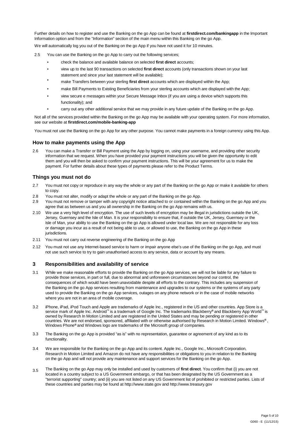Further details on how to register and use the Banking on the go App can be found at **firstdirect.com/bankingapp** in the Important Information option and from the "Information" section of the main menu within this Banking on the go App.

We will automatically log you out of the Banking on the go App if you have not used it for 10 minutes.

- 2.5 You can use the Banking on the go App to carry out the following services;
	- check the balance and available balance on selected **first direct** accounts;
	- view up to the last 90 transactions on selected **first direct** accounts (only transactions shown on your last statement and since your last statement will be available);
	- make Transfers between your sterling **first direct** accounts which are displayed within the App;
	- make Bill Payments to Existing Beneficiaries from your sterling accounts which are displayed with the App;
	- view secure e messages within your Secure Message Inbox (if you are using a device which supports this functionality); and
	- carry out any other additional service that we may provide in any future update of the Banking on the go App.

Not all of the services provided within the Banking on the go App may be available with your operating system. For more information, see our website at **firstdirect.com/mobile-banking-app** 

You must not use the Banking on the go App for any other purpose. You cannot make payments in a foreign currency using this App.

#### **How to make payments using the App**

You can make a Transfer or Bill Payment using the App by logging on, using your username, and providing other security information that we request. When you have provided your payment instructions you will be given the opportunity to edit them and you will then be asked to confirm your payment instructions. This will be your agreement for us to make the payment. For further details about these types of payments please refer to the Product Terms. 2.6

#### **Things you must not do**

- You must not copy or reproduce in any way the whole or any part of the Banking on the go App or make it available for others to copy. 2.7
- 2.8 You must not alter, modify or adapt the whole or any part of the Banking on the go App.
- You must not remove or tamper with any copyright notice attached to or contained within the Banking on the go App and you agree that as between us and you all ownership in the Banking on the go App remains with us. 2.9
- We use a very high level of encryption. The use of such levels of encryption may be illegal in jurisdictions outside the UK, Jersey, Guernsey and the Isle of Man. It is your responsibility to ensure that, if outside the UK, Jersey, Guernsey or the Isle of Man, your ability to use the Banking on the go App is allowed under local law. We are not responsible for any loss or damage you incur as a result of not being able to use, or allowed to use, the Banking on the go App in these jurisdictions. 2.10
- 2.11 You must not carry out reverse engineering of the Banking on the go App
- You must not use any Internet-based service to harm or impair anyone else's use of the Banking on the go App, and must not use such service to try to gain unauthorised access to any service, data or account by any means. 2.12

#### **3 Responsibilities and availability of service**

- While we make reasonable efforts to provide the Banking on the go App services, we will not be liable for any failure to provide those services, in part or full, due to abnormal and unforeseen circumstances beyond our control, the consequences of which would have been unavoidable despite all efforts to the contrary. This includes any suspension of the Banking on the go App services resulting from maintenance and upgrades to our systems or the systems of any party used to provide the Banking on the go App services, outages on any phone network or in the case of mobile networks where you are not in an area of mobile coverage. 3.1
- iPhone, iPad, iPod Touch and Apple are trademarks of Apple Inc., registered in the US and other countries. App Store is a service mark of Apple Inc. Android**™** is a trademark of Google Inc. The trademarks Blackberry**®** and Blackberry App World**™** is owned by Research In Motion Limited and are registered in the United States and may be pending or registered in other countries. We are not endorsed, sponsored, affiliated with or otherwise authorised by Research in Motion Limited. Windows**®** , Windows Phone**®** and Windows logo are trademarks of the Microsoft group of companies. 3.2
- The Banking on the go App is provided "as is" with no representation, guarantee or agreement of any kind as to its functionality. 3.3
- We are responsible for the Banking on the go App and its content. Apple Inc., Google Inc., Microsoft Corporation, Research in Motion Limited and Amazon do not have any responsibilities or obligations to you in relation to the Banking on the go App and will not provide any maintenance and support services for the Banking on the go App. 3.4
- 3.5 The Banking on the go App may only be installed and used by customers of **first direct**. You confirm that (i) you are not located in a country subject to a US Government embargo, or that has been designated by the US Government as a "terrorist supporting" country; and (ii) you are not listed on any US Government list of prohibited or restricted parties. Lists of these countries and parties may be found at http://www.state.gov and http://www.treasury.gov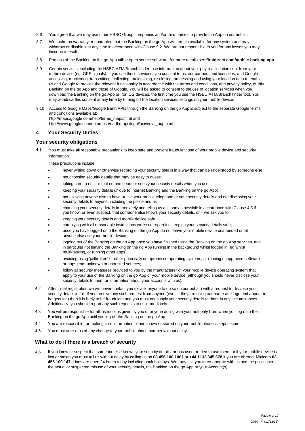- 3.6 You agree that we may use other HSBC Group companies and/or third parties to provide the App on our behalf.
- We make no warranty or guarantee that the Banking on the go App will remain available for any system and may withdraw or disable it at any time in accordance with Clause 9.2. We are not responsible to you for any losses you may incur as a result. 3.7
- 3.8 Portions of the Banking on the go App utilise open source software, for more details see **firstdirect.com/mobile-banking-app**
- Certain services, including the HSBC ATM/Branch finder, use information about your physical location sent from your mobile device (eg, GPS signals). If you use these services, you consent to us, our partners and licensees, and Google accessing, monitoring transmitting, collecting, maintaining, disclosing, processing and using your location data to enable us and Google to provide the relevant functionality in accordance with the terms and conditions, and privacy policy, of this Banking on the go App and those of Google. You will be asked to consent to the use of location services when you download the Banking on the go App or, for iOS devices, the first time you use the HSBC ATM/Branch finder tool. You may withdraw this consent at any time by turning off the location services settings on your mobile device. 3.9
- 3.10 Access to Google Maps/Google Earth APIs through the Banking on the go App is subject to the separate Google terms and conditions available at: http://maps.google.com/help/terms\_maps.html and http://www.google.com/enterprise/earthmaps/legal/universal\_aup.html

#### **4 Your Security Duties**

#### **Your security obligations**

4.1 You must take all reasonable precautions to keep safe and prevent fraudulent use of your mobile device and security information.

These precautions include:

- never writing down or otherwise recording your security details in a way that can be understood by someone else;
- not choosing security details that may be easy to guess;
- taking care to ensure that no one hears or sees your security details when you use it:
- keeping your security details unique to Internet Banking and the Banking on the go App;
- not allowing anyone else to have or use your mobile telephone or your security details and not disclosing your security details to anyone, including the police and us;
- changing your security details immediately and telling us as soon as possible in accordance with Clause 4.3 if you know, or even suspect, that someone else knows your security details, or if we ask you to;
- keeping your security details and mobile device safe;
- complying with all reasonable instructions we issue regarding keeping your security details safe;
- once you have logged onto the Banking on the go App do not leave your mobile device unattended or let anyone else use your mobile device; •
- logging out of the Banking on the go App once you have finished using the Banking on the go App services, and in particular not leaving the Banking on the go App running in the background whilst logged in (eg whilst multi-tasking, or running other apps); •
- avoiding using 'jailbroken' or other potentially compromised operating systems, or running unapproved software or apps from unknown or untrusted sources; •
- follow all security measures provided to you by the manufacturer of your mobile device operating system that apply to your use of the Banking on the go App or your mobile device (although you should never disclose your security details to them or information about your accounts with us). •
- After initial registration we will never contact you (or ask anyone to do so on our behalf) with a request to disclose your security details in full. If you receive any such request from anyone (even if they are using our name and logo and appear to be genuine) then it is likely to be fraudulent and you must not supply your security details to them in any circumstances. Additionally, you should report any such requests to us immediately. 4.2
- You will be responsible for all instructions given by you or anyone acting with your authority from when you log onto the Banking on the go App until you log off the Banking on the go App. 4.3
- 4.4 You are responsible for making sure information either shown or stored on your mobile phone is kept secure.
- 4.5 You must advise us of any change to your mobile phone number without delay.

#### **What to do if there is a breach of security**

4.6 If you know or suspect that someone else knows your security details, or has used or tried to use them, or if your mobile device is lost or stolen you must tell us without delay by calling us on **03 456 100 100**† or **+44 1132 345 678** if you are abroad, Minicom **03 456 100 147**. Lines are open 24 hours a day including bank holidays. We may ask you to co-operate with us and the police into the actual or suspected misuse of your security details, the Banking on the go App or your Account(s).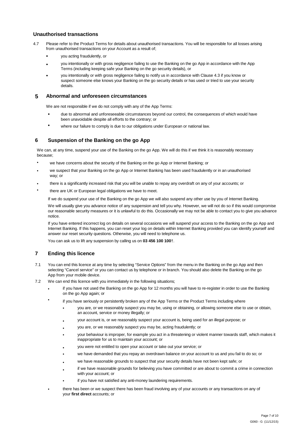#### **Unauthorised transactions**

- Please refer to the Product Terms for details about unauthorised transactions. You will be responsible for all losses arising from unauthorised transactions on your Account as a result of; 4.7
	- you acting fraudulently, or
	- you intentionally or with gross negligence failing to use the Banking on the go App in accordance with the App Terms (including keeping safe your Banking on the go security details), or
	- you intentionally or with gross negligence failing to notify us in accordance with Clause 4.3 if you know or suspect someone else knows your Banking on the go security details or has used or tried to use your security details.

#### **5 Abnormal and unforeseen circumstances**

We are not responsible if we do not comply with any of the App Terms:

- due to abnormal and unforeseeable circumstances beyond our control, the consequences of which would have been unavoidable despite all efforts to the contrary; or
- where our failure to comply is due to our obligations under European or national law.

#### **6 Suspension of the Banking on the go App**

We can, at any time, suspend your use of the Banking on the go App. We will do this if we think it is reasonably necessary because;

- we have concerns about the security of the Banking on the go App or Internet Banking; or
- we suspect that your Banking on the go App or Internet Banking has been used fraudulently or in an unauthorised way; or
- there is a significantly increased risk that you will be unable to repay any overdraft on any of your accounts; or
- there are UK or European legal obligations we have to meet.

If we do suspend your use of the Banking on the go App we will also suspend any other use by you of Internet Banking. We will usually give you advance notice of any suspension and tell you why. However, we will not do so if this would compromise our reasonable security measures or it is unlawful to do this. Occasionally we may not be able to contact you to give you advance notice.

If you have entered incorrect log on details on several occasions we will suspend your access to the Banking on the go App and Internet Banking. If this happens, you can reset your log on details within Internet Banking provided you can identify yourself and answer our reset security questions. Otherwise, you will need to telephone us.

You can ask us to lift any suspension by calling us on **03 456 100 100**†.

#### **7 Ending this licence**

- You can end this licence at any time by selecting "Service Options" from the menu in the Banking on the go App and then selecting "Cancel service" or you can contact us by telephone or in branch. You should also delete the Banking on the go App from your mobile device. 7.1
- 7.2 We can end this licence with you immediately in the following situations;
	- if you have not used the Banking on the go App for 12 months you will have to re-register in order to use the Banking on the go App again; or
	- if you have seriously or persistently broken any of the App Terms or the Product Terms including where
		- you are, or we reasonably suspect you may be, using or obtaining, or allowing someone else to use or obtain, an account, service or money illegally; or
		- your account is, or we reasonably suspect your account is, being used for an illegal purpose; or
		- you are, or we reasonably suspect you may be, acting fraudulently; or
		- your behaviour is improper, for example you act in a threatening or violent manner towards staff, which makes it inappropriate for us to maintain your account; or
		- you were not entitled to open your account or take out your service; or
		- we have demanded that you repay an overdrawn balance on your account to us and you fail to do so; or
		- we have reasonable grounds to suspect that your security details have not been kept safe; or
		- if we have reasonable grounds for believing you have committed or are about to commit a crime in connection with your account; or
		- if you have not satisfied any anti-money laundering requirements.
	- there has been or we suspect there has been fraud involving any of your accounts or any transactions on any of your **first direct** accounts; or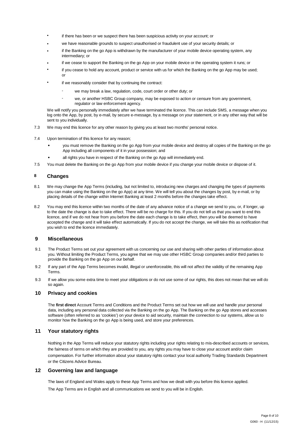- if there has been or we suspect there has been suspicious activity on your account; or
- we have reasonable grounds to suspect unauthorised or fraudulent use of your security details; or
- if the Banking on the go App is withdrawn by the manufacturer of your mobile device operating system, any intermediary; or
- if we cease to support the Banking on the go App on your mobile device or the operating system it runs; or
- if you cease to hold any account, product or service with us for which the Banking on the go App may be used; or
- if we reasonably consider that by continuing the contract:
	- we may break a law, regulation, code, court order or other duty; or
	- we, or another HSBC Group company, may be exposed to action or censure from any government, regulator or law enforcement agency.

We will notify you personally immediately after we have terminated the licence. This can include SMS, a message when you log onto the App, by post, by e-mail, by secure e-message, by a message on your statement, or in any other way that will be sent to you individually.

- 7.3 We may end this licence for any other reason by giving you at least two months' personal notice.
- 7.4 Upon termination of this licence for any reason;
	- you must remove the Banking on the go App from your mobile device and destroy all copies of the Banking on the go App including all components of it in your possession; and
	- all rights you have in respect of the Banking on the go App will immediately end.
- 7.5 You must delete the Banking on the go App from your mobile device if you change your mobile device or dispose of it.

#### **8 Changes**

- We may change the App Terms (including, but not limited to, introducing new charges and changing the types of payments you can make using the Banking on the go App) at any time. We will tell you about the changes by post, by e-mail, or by placing details of the change within Internet Banking at least 2 months before the changes take effect. 8.1
- You may end this licence within two months of the date of any advance notice of a change we send to you, or, if longer, up to the date the change is due to take effect. There will be no charge for this. If you do not tell us that you want to end this licence, and if we do not hear from you before the date each change is to take effect, then you will be deemed to have accepted the change and it will take effect automatically. If you do not accept the change, we will take this as notification that you wish to end the licence immediately. 8.2

#### **9 Miscellaneous**

- The Product Terms set out your agreement with us concerning our use and sharing with other parties of information about you. Without limiting the Product Terms, you agree that we may use other HSBC Group companies and/or third parties to provide the Banking on the go App on our behalf. 9.1
- If any part of the App Terms becomes invalid, illegal or unenforceable, this will not affect the validity of the remaining App Terms. 9.2
- If we allow you some extra time to meet your obligations or do not use some of our rights, this does not mean that we will do so again. 9.3

#### **10 Privacy and cookies**

The **first direct** Account Terms and Conditions and the Product Terms set out how we will use and handle your personal data, including any personal data collected via the Banking on the go App. The Banking on the go App stores and accesses software (often referred to as 'cookies') on your device to aid security, maintain the connection to our systems, allow us to monitor how the Banking on the go App is being used, and store your preferences.

#### **11 Your statutory rights**

Nothing in the App Terms will reduce your statutory rights including your rights relating to mis-described accounts or services, the fairness of terms on which they are provided to you, any rights you may have to close your account and/or claim compensation. For further information about your statutory rights contact your local authority Trading Standards Department or the Citizens Advice Bureau.

#### **12 Governing law and language**

The laws of England and Wales apply to these App Terms and how we dealt with you before this licence applied. The App Terms are in English and all communications we send to you will be in English.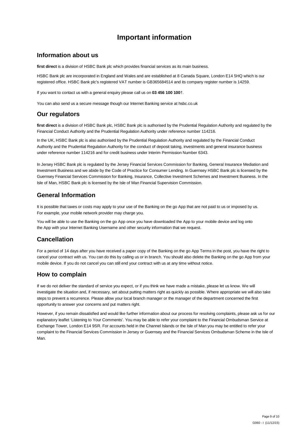# **Important information**

### **Information about us**

**first direct** is a division of HSBC Bank plc which provides financial services as its main business.

HSBC Bank plc are incorporated in England and Wales and are established at 8 Canada Square, London E14 5HQ which is our registered office. HSBC Bank plc's registered VAT number is GB365684514 and its company register number is 14259.

If you want to contact us with a general enquiry please call us on **03 456 100 100**†.

You can also send us a secure message though our Internet Banking service at hsbc.co.uk

## **Our regulators**

**first direct** is a division of HSBC Bank plc, HSBC Bank plc is authorised by the Prudential Regulation Authority and regulated by the Financial Conduct Authority and the Prudential Regulation Authority under reference number 114216.

In the UK, HSBC Bank plc is also authorised by the Prudential Regulation Authority and regulated by the Financial Conduct Authority and the Prudential Regulation Authority for the conduct of deposit taking, investments and general insurance business under reference number 114216 and for credit business under Interim Permission Number 6343.

In Jersey HSBC Bank plc is regulated by the Jersey Financial Services Commission for Banking, General Insurance Mediation and Investment Business and we abide by the Code of Practice for Consumer Lending. In Guernsey HSBC Bank plc is licensed by the Guernsey Financial Services Commission for Banking, Insurance, Collective Investment Schemes and Investment Business. In the Isle of Man, HSBC Bank plc is licensed by the Isle of Man Financial Supervision Commission.

# **General Information**

It is possible that taxes or costs may apply to your use of the Banking on the go App that are not paid to us or imposed by us. For example, your mobile network provider may charge you.

You will be able to use the Banking on the go App once you have downloaded the App to your mobile device and log onto the App with your Internet Banking Username and other security information that we request.

# **Cancellation**

For a period of 14 days after you have received a paper copy of the Banking on the go App Terms in the post, you have the right to cancel your contract with us. You can do this by calling us or in branch. You should also delete the Banking on the go App from your mobile device. If you do not cancel you can still end your contract with us at any time without notice.

## **How to complain**

If we do not deliver the standard of service you expect, or if you think we have made a mistake, please let us know. We will investigate the situation and, if necessary, set about putting matters right as quickly as possible. Where appropriate we will also take steps to prevent a recurrence. Please allow your local branch manager or the manager of the department concerned the first opportunity to answer your concerns and put matters right.

However, if you remain dissatisfied and would like further information about our process for resolving complaints, please ask us for our explanatory leaflet 'Listening to Your Comments'. You may be able to refer your complaint to the Financial Ombudsman Service at Exchange Tower, London E14 9SR. For accounts held in the Channel Islands or the Isle of Man you may be entitled to refer your complaint to the Financial Services Commission in Jersey or Guernsey and the Financial Services Ombudsman Scheme in the Isle of Man.